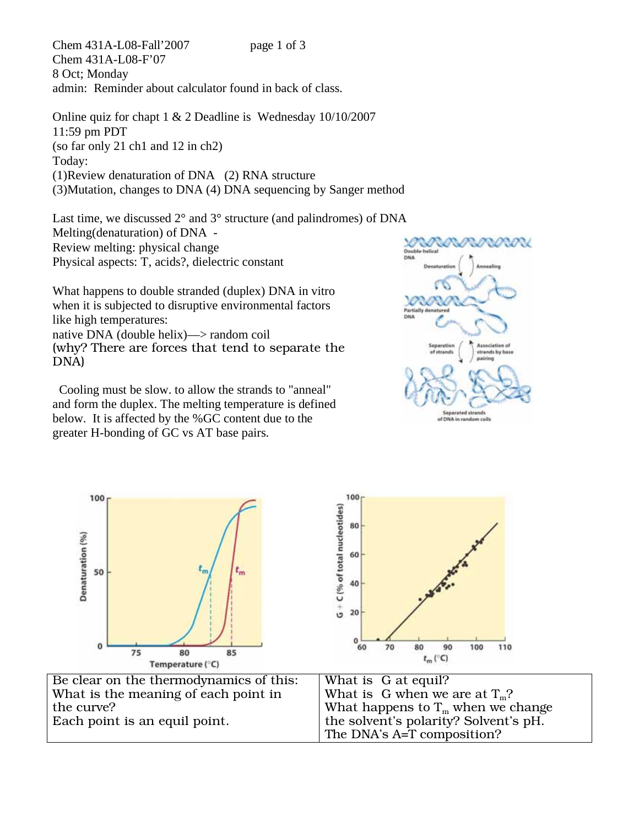Chem 431A-L08-Fall'2007 page 1 of 3 Chem 431A-L08-F'07 8 Oct; Monday admin: Reminder about calculator found in back of class.

Online quiz for chapt 1 & 2 Deadline is Wednesday 10/10/2007 11:59 pm PDT (so far only 21 ch1 and 12 in ch2) Today: (1)Review denaturation of DNA (2) RNA structure (3)Mutation, changes to DNA (4) DNA sequencing by Sanger method

Last time, we discussed 2° and 3° structure (and palindromes) of DNA Melting(denaturation) of DNA - Review melting: physical change Physical aspects: T, acids?, dielectric constant

What happens to double stranded (duplex) DNA in vitro when it is subjected to disruptive environmental factors like high temperatures: native DNA (double helix)—> random coil (why? There are forces that tend to separate the

DNA)

 Cooling must be slow. to allow the strands to "anneal" and form the duplex. The melting temperature is defined below. It is affected by the %GC content due to the greater H-bonding of GC vs AT base pairs.



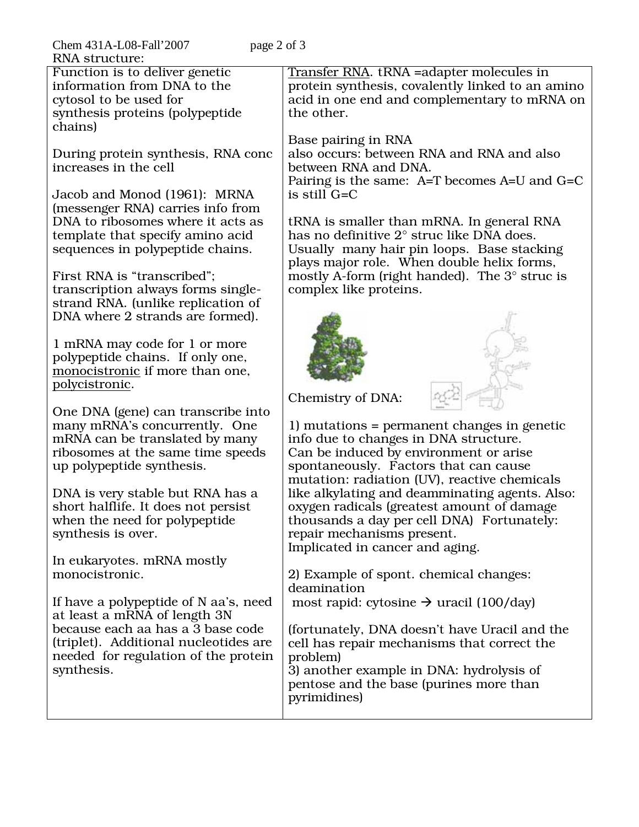| Chem 431A-L08-Fall'2007<br>page 2 of 3 |                                                                                          |
|----------------------------------------|------------------------------------------------------------------------------------------|
| <b>RNA</b> structure:                  |                                                                                          |
| Function is to deliver genetic         | Transfer RNA. tRNA = adapter molecules in                                                |
| information from DNA to the            | protein synthesis, covalently linked to an amino                                         |
| cytosol to be used for                 | acid in one end and complementary to mRNA on                                             |
| synthesis proteins (polypeptide        | the other.                                                                               |
| chains)                                |                                                                                          |
|                                        | Base pairing in RNA                                                                      |
| During protein synthesis, RNA conc     | also occurs: between RNA and RNA and also                                                |
| increases in the cell                  | between RNA and DNA.                                                                     |
|                                        | Pairing is the same: A=T becomes A=U and G=C                                             |
| Jacob and Monod (1961): MRNA           | is still G=C                                                                             |
| (messenger RNA) carries info from      |                                                                                          |
| DNA to ribosomes where it acts as      | tRNA is smaller than mRNA. In general RNA<br>has no definitive 2° struc like DNA does.   |
| template that specify amino acid       |                                                                                          |
| sequences in polypeptide chains.       | Usually many hair pin loops. Base stacking<br>plays major role. When double helix forms, |
| First RNA is "transcribed";            | mostly A-form (right handed). The $3^\circ$ struc is                                     |
| transcription always forms single-     | complex like proteins.                                                                   |
| strand RNA. (unlike replication of     |                                                                                          |
| DNA where 2 strands are formed).       |                                                                                          |
|                                        |                                                                                          |
| 1 mRNA may code for 1 or more          |                                                                                          |
| polypeptide chains. If only one,       |                                                                                          |
| monocistronic if more than one,        |                                                                                          |
| polycistronic.                         |                                                                                          |
|                                        | Chemistry of DNA:                                                                        |
| One DNA (gene) can transcribe into     |                                                                                          |
| many mRNA's concurrently. One          | 1) mutations = permanent changes in genetic                                              |
| mRNA can be translated by many         | info due to changes in DNA structure.                                                    |
| ribosomes at the same time speeds      | Can be induced by environment or arise                                                   |
| up polypeptide synthesis.              | spontaneously. Factors that can cause                                                    |
|                                        | mutation: radiation (UV), reactive chemicals                                             |
| DNA is very stable but RNA has a       | like alkylating and deamminating agents. Also:                                           |
| short halflife. It does not persist    | oxygen radicals (greatest amount of damage                                               |
| when the need for polypeptide          | thousands a day per cell DNA) Fortunately:                                               |
| synthesis is over.                     | repair mechanisms present.                                                               |
|                                        | Implicated in cancer and aging.                                                          |
| In eukaryotes. mRNA mostly             |                                                                                          |
| monocistronic.                         | 2) Example of spont. chemical changes:                                                   |
|                                        | deamination                                                                              |
| If have a polypeptide of N aa's, need  | most rapid: cytosine $\rightarrow$ uracil (100/day)                                      |
| at least a mRNA of length 3N           |                                                                                          |
| because each aa has a 3 base code      | (fortunately, DNA doesn't have Uracil and the                                            |
| (triplet). Additional nucleotides are  | cell has repair mechanisms that correct the                                              |
| needed for regulation of the protein   | problem)                                                                                 |
| synthesis.                             | 3) another example in DNA: hydrolysis of                                                 |
|                                        | pentose and the base (purines more than                                                  |
|                                        | pyrimidines)                                                                             |
|                                        |                                                                                          |